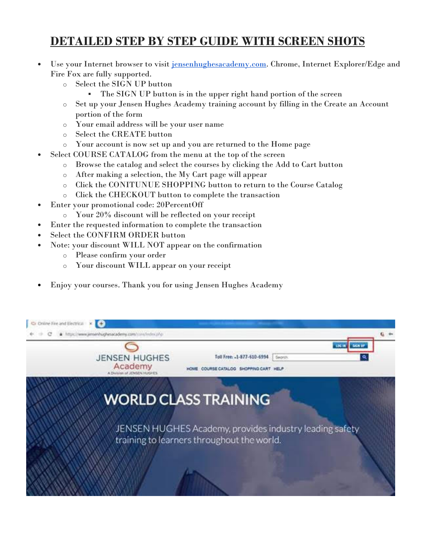## DETAILED STEP BY STEP GUIDE WITH SCREEN SHOTS

- Use your Internet browser to visit jensenhughesacademy.com. Chrome, Internet Explorer/Edge and Fire Fox are fully supported.
	- o Select the SIGN UP button
		- The SIGN UP button is in the upper right hand portion of the screen
	- o Set up your Jensen Hughes Academy training account by filling in the Create an Account portion of the form
	- o Your email address will be your user name
	- o Select the CREATE button
	- o Your account is now set up and you are returned to the Home page
- Select COURSE CATALOG from the menu at the top of the screen
	- o Browse the catalog and select the courses by clicking the Add to Cart button
	- o After making a selection, the My Cart page will appear
	- o Click the CONITUNUE SHOPPING button to return to the Course Catalog
	- o Click the CHECKOUT button to complete the transaction
- Enter your promotional code: 20PercentOff
	- o Your 20% discount will be reflected on your receipt
- Enter the requested information to complete the transaction
- Select the CONFIRM ORDER button
- Note: your discount WILL NOT appear on the confirmation
	- o Please confirm your order
	- o Your discount WILL appear on your receipt
- Enjoy your courses. Thank you for using Jensen Hughes Academy

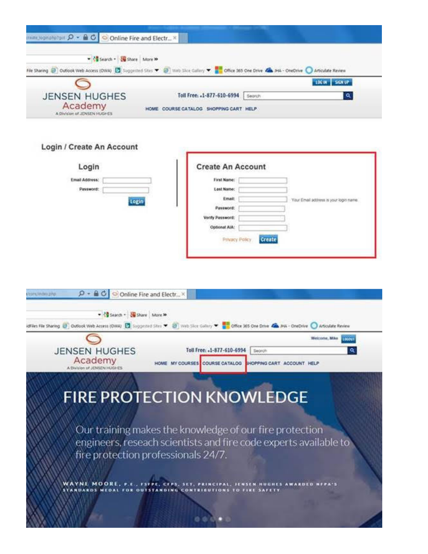| man Jogitalia for $\Omega$ - $\triangle$ C Online Fire and Electr X |                                                                                                                                                   |
|---------------------------------------------------------------------|---------------------------------------------------------------------------------------------------------------------------------------------------|
| - < Search - El Share More >>                                       | File Sharing @ Outlook Web Access (OWA) [3] Suggested Sites v @ Web Sitce Gallery v 22 Office 365 One Drive Ca PHA - OneOtive C Articulate Review |
| æ                                                                   | LOCON SIGN UP                                                                                                                                     |
| <b>JENSEN HUGHES</b>                                                | Toll Free: .1-877-610-6994   Secrety<br>a                                                                                                         |
| Academy<br>A Division of JDISEN HUGHES                              | HOME COURSE CATALOG SHOPPING CART HELP                                                                                                            |

## Login / Create An Account

| <b>Create An Account</b> |                                        |
|--------------------------|----------------------------------------|
| First Name:              |                                        |
| Lost Name:               |                                        |
| Email:                   | Your Email address is your login name. |
| Password:                |                                        |
| Venty Password:          |                                        |
| Optional AIA:            |                                        |
| Create                   |                                        |
|                          |                                        |
|                          | Privacy Policy.                        |

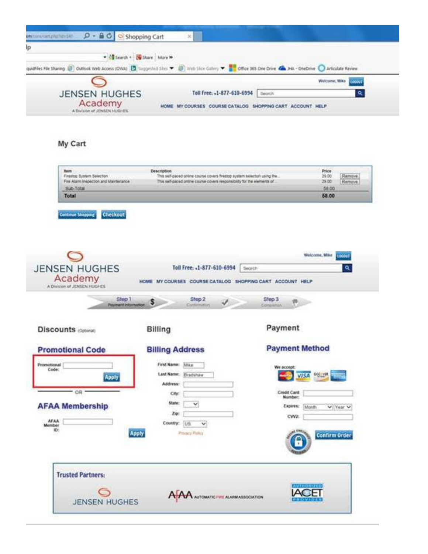